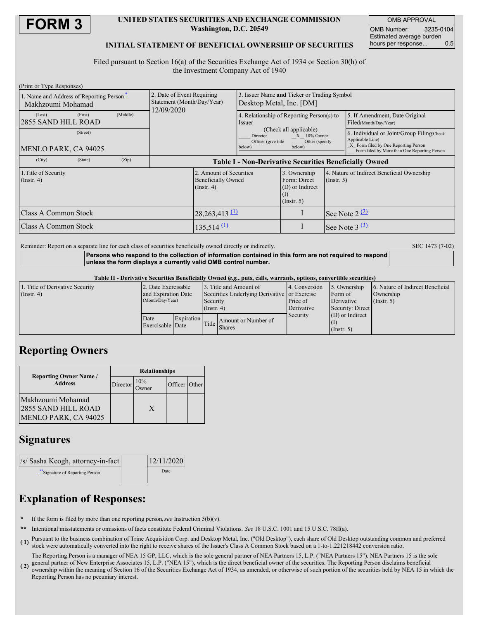

#### **UNITED STATES SECURITIES AND EXCHANGE COMMISSION Washington, D.C. 20549**

OMB APPROVAL OMB Number: 3235-0104 Estimated average burden hours per response... 0.5

### **INITIAL STATEMENT OF BENEFICIAL OWNERSHIP OF SECURITIES**

Filed pursuant to Section 16(a) of the Securities Exchange Act of 1934 or Section 30(h) of the Investment Company Act of 1940

| (Print or Type Responses)                                                 |          |          |                                                                          |                             |                                                                                                                                                                                   |                                                                |                      |                                                                                                                                                       |
|---------------------------------------------------------------------------|----------|----------|--------------------------------------------------------------------------|-----------------------------|-----------------------------------------------------------------------------------------------------------------------------------------------------------------------------------|----------------------------------------------------------------|----------------------|-------------------------------------------------------------------------------------------------------------------------------------------------------|
| 1. Name and Address of Reporting Person <sup>*</sup><br>Makhzoumi Mohamad |          |          | 2. Date of Event Requiring<br>Statement (Month/Day/Year)<br>12/09/2020   |                             | 3. Issuer Name and Ticker or Trading Symbol<br>Desktop Metal, Inc. [DM]                                                                                                           |                                                                |                      |                                                                                                                                                       |
| (Last)<br>2855 SAND HILL ROAD                                             | (First)  | (Middle) |                                                                          |                             | 4. Relationship of Reporting Person(s) to<br>Issuer<br>(Check all applicable)<br>$X = 10\%$ Owner<br><b>Director</b><br>Officer (give title<br>Other (specify<br>below)<br>below) |                                                                |                      | 5. If Amendment, Date Original<br>Filed(Month/Day/Year)                                                                                               |
| MENLO PARK, CA 94025                                                      | (Street) |          |                                                                          |                             |                                                                                                                                                                                   |                                                                |                      | 6. Individual or Joint/Group Filing Check<br>Applicable Line)<br>X Form filed by One Reporting Person<br>Form filed by More than One Reporting Person |
| (City)                                                                    | (State)  | (Zip)    | <b>Table I - Non-Derivative Securities Beneficially Owned</b>            |                             |                                                                                                                                                                                   |                                                                |                      |                                                                                                                                                       |
| 1. Title of Security<br>$($ Instr. 4 $)$                                  |          |          | 2. Amount of Securities<br><b>Beneficially Owned</b><br>$($ Instr. 4 $)$ |                             | 3. Ownership<br>Form: Direct<br>(D) or Indirect<br>$($ Instr. 5 $)$                                                                                                               | 4. Nature of Indirect Beneficial Ownership<br>$($ Instr. 5 $)$ |                      |                                                                                                                                                       |
| Class A Common Stock                                                      |          |          |                                                                          | $28,263,413$ <sup>(1)</sup> |                                                                                                                                                                                   |                                                                | See Note $2^{(2)}$   |                                                                                                                                                       |
| Class A Common Stock                                                      |          |          |                                                                          | $135,514 \underline{11}$    |                                                                                                                                                                                   |                                                                | See Note $3\sqrt{3}$ |                                                                                                                                                       |

Reminder: Report on a separate line for each class of securities beneficially owned directly or indirectly. SEC 1473 (7-02)

| Persons who respond to the collection of information contained in this form are not required to respond |
|---------------------------------------------------------------------------------------------------------|
| unless the form displays a currently valid OMB control number.                                          |

#### Table II - Derivative Securities Beneficially Owned (e.g., puts, calls, warrants, options, convertible securities)

| 1. Title of Derivative Security<br>(Insert 4) | 2. Date Exercisable<br>and Expiration Date |                   | 3. Title and Amount of<br>Securities Underlying Derivative or Exercise |                                     | 4. Conversion          | 5. Ownership<br>Form of                       | 6. Nature of Indirect Beneficial<br>Ownership |  |
|-----------------------------------------------|--------------------------------------------|-------------------|------------------------------------------------------------------------|-------------------------------------|------------------------|-----------------------------------------------|-----------------------------------------------|--|
|                                               | (Month/Day/Year)                           |                   | Security<br>$($ Instr. 4)                                              |                                     | Price of<br>Derivative | Derivative<br>(Insert, 5)<br>Security: Direct |                                               |  |
|                                               | Date<br>Exercisable Date                   | <b>Expiration</b> |                                                                        | Amount or Number of<br>Title Shares | Security               | $(D)$ or Indirect<br>$($ Instr. 5 $)$         |                                               |  |

## **Reporting Owners**

|                                                                  | <b>Relationships</b>                                         |   |               |  |  |  |
|------------------------------------------------------------------|--------------------------------------------------------------|---|---------------|--|--|--|
| <b>Reporting Owner Name /</b><br><b>Address</b>                  | Director $\begin{array}{c} 10\% \\ \text{Owner} \end{array}$ |   | Officer Other |  |  |  |
| Makhzoumi Mohamad<br>2855 SAND HILL ROAD<br>MENLO PARK, CA 94025 |                                                              | X |               |  |  |  |

## **Signatures**

| /s/ Sasha Keogh, attorney-in-fact | 12/11/2020 |
|-----------------------------------|------------|
| Signature of Reporting Person     | Date       |

# **Explanation of Responses:**

- **\*** If the form is filed by more than one reporting person,*see* Instruction 5(b)(v).
- **\*\*** Intentional misstatements or omissions of facts constitute Federal Criminal Violations. *See* 18 U.S.C. 1001 and 15 U.S.C. 78ff(a).
- **( 1)** Pursuant to the business combination of Trine Acquisition Corp. and Desktop Metal, Inc. ("Old Desktop"), each share of Old Desktop outstanding common and preferred stock were automatically converted into the right to receive shares of the Issuer's Class A Common Stock based on a 1-to-1.221218442 conversion ratio.

**( 2)** general partner of New Enterprise Associates 15, L.P. ("NEA 15"), which is the direct beneficial owner of the securities. The Reporting Person disclaims beneficial The Reporting Person is a manager of NEA 15 GP, LLC, which is the sole general partner of NEA Partners 15, L.P. ("NEA Partners 15"). NEA Partners 15 is the sole

ownership within the meaning of Section 16 of the Securities Exchange Act of 1934, as amended, or otherwise of such portion of the securities held by NEA 15 in which the Reporting Person has no pecuniary interest.